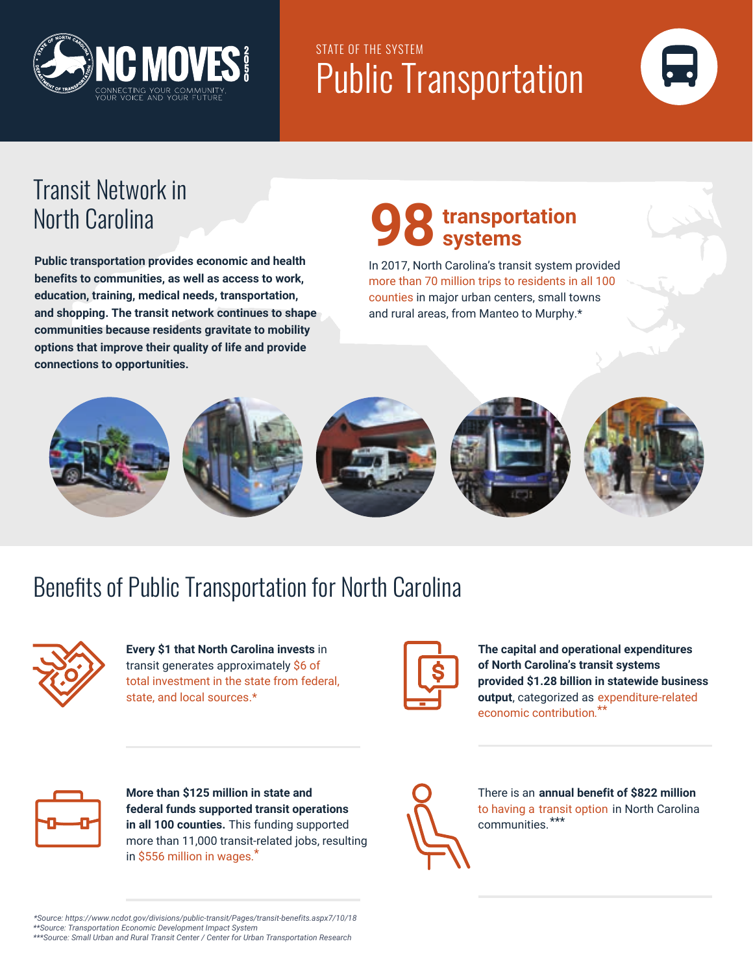

# STATE OF THE SYSTEM Public Transportation



### Transit Network in North Carolina

**Public transportation provides economic and health benefits to communities, as well as access to work, education, training, medical needs, transportation, and shopping. The transit network continues to shape communities because residents gravitate to mobility options that improve their quality of life and provide connections to opportunities.**

### **transportation systems 98**

In 2017, North Carolina's transit system provided more than 70 million trips to residents in all 100 counties in major urban centers, small towns and rural areas, from Manteo to Murphy.\*



### Benefits of Public Transportation for North Carolina



**Every \$1 that North Carolina invests** in transit generates approximately \$6 of total investment in the state from federal, state, and local sources.\*



**The capital and operational expenditures of North Carolina's transit systems provided \$1.28 billion in statewide business output**, categorized as expenditure-related economic contribution.\*\*



**More than \$125 million in state and federal funds supported transit operations in all 100 counties.** This funding supported more than 11,000 transit-related jobs, resulting in \$556 million in wages.\*



There is an **annual benefit of \$822 million** to having a transit option in North Carolina communities.\*\*\*

\*\*Source: Transportation Economic Development Impact System *\*Source: https://www.ncdot.gov/divisions/public-transit/Pages/transit-benefits.aspx7/10/18*

*\*\*\*Source: Small Urban and Rural Transit Center / Center for Urban Transportation Research*